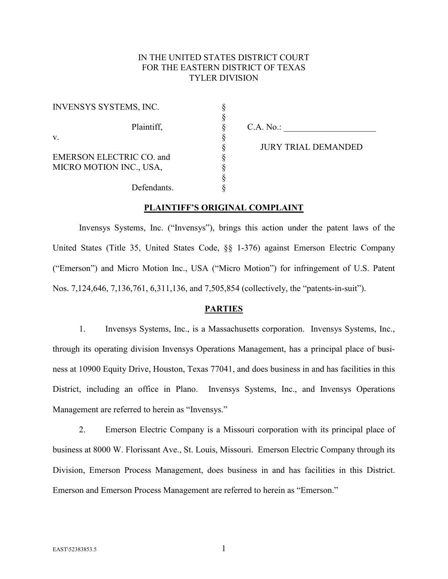# IN THE UNITED STATES DISTRICT COURT FOR THE EASTERN DISTRICT OF TEXAS TYLER DIVISION

| <b>INVENSYS SYSTEMS, INC.</b>   |  |
|---------------------------------|--|
|                                 |  |
| Plaintiff,                      |  |
| V.                              |  |
|                                 |  |
| <b>EMERSON ELECTRIC CO. and</b> |  |
| MICRO MOTION INC., USA,         |  |
|                                 |  |
| Defendants.                     |  |

 $C.A. No.:$ 

§ JURY TRIAL DEMANDED

#### **PLAINTIFF'S ORIGINAL COMPLAINT**

Invensys Systems, Inc. ("Invensys"), brings this action under the patent laws of the United States (Title 35, United States Code, §§ 1-376) against Emerson Electric Company ("Emerson") and Micro Motion Inc., USA ("Micro Motion") for infringement of U.S. Patent Nos. 7,124,646, 7,136,761, 6,311,136, and 7,505,854 (collectively, the "patents-in-suit").

# **PARTIES**

1. Invensys Systems, Inc., is a Massachusetts corporation. Invensys Systems, Inc., through its operating division Invensys Operations Management, has a principal place of business at 10900 Equity Drive, Houston, Texas 77041, and does business in and has facilities in this District, including an office in Plano. Invensys Systems, Inc., and Invensys Operations Management are referred to herein as "Invensys."

2. Emerson Electric Company is a Missouri corporation with its principal place of business at 8000 W. Florissant Ave., St. Louis, Missouri. Emerson Electric Company through its Division, Emerson Process Management, does business in and has facilities in this District. Emerson and Emerson Process Management are referred to herein as "Emerson."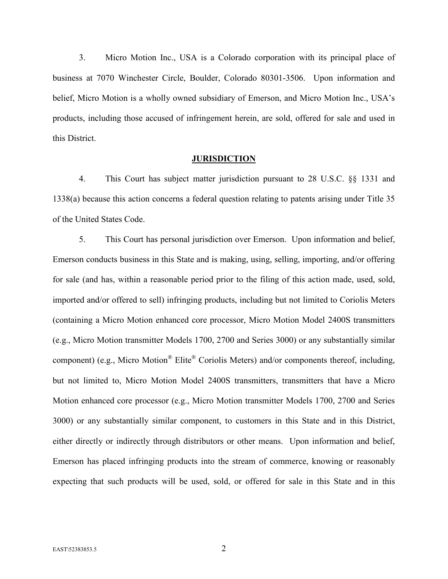3. Micro Motion Inc., USA is a Colorado corporation with its principal place of business at 7070 Winchester Circle, Boulder, Colorado 80301-3506. Upon information and belief, Micro Motion is a wholly owned subsidiary of Emerson, and Micro Motion Inc., USA's products, including those accused of infringement herein, are sold, offered for sale and used in this District.

#### **JURISDICTION**

4. This Court has subject matter jurisdiction pursuant to 28 U.S.C. §§ 1331 and 1338(a) because this action concerns a federal question relating to patents arising under Title 35 of the United States Code.

5. This Court has personal jurisdiction over Emerson. Upon information and belief, Emerson conducts business in this State and is making, using, selling, importing, and/or offering for sale (and has, within a reasonable period prior to the filing of this action made, used, sold, imported and/or offered to sell) infringing products, including but not limited to Coriolis Meters (containing a Micro Motion enhanced core processor, Micro Motion Model 2400S transmitters (e.g., Micro Motion transmitter Models 1700, 2700 and Series 3000) or any substantially similar component) (e.g., Micro Motion® Elite® Coriolis Meters) and/or components thereof, including, but not limited to, Micro Motion Model 2400S transmitters, transmitters that have a Micro Motion enhanced core processor (e.g., Micro Motion transmitter Models 1700, 2700 and Series 3000) or any substantially similar component, to customers in this State and in this District, either directly or indirectly through distributors or other means. Upon information and belief, Emerson has placed infringing products into the stream of commerce, knowing or reasonably expecting that such products will be used, sold, or offered for sale in this State and in this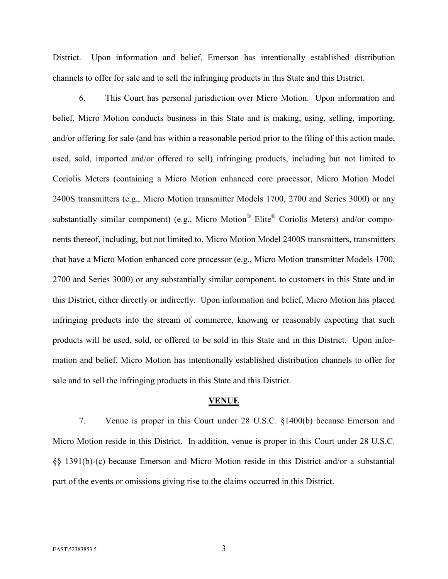District. Upon information and belief, Emerson has intentionally established distribution channels to offer for sale and to sell the infringing products in this State and this District.

6. This Court has personal jurisdiction over Micro Motion. Upon information and belief, Micro Motion conducts business in this State and is making, using, selling, importing, and/or offering for sale (and has within a reasonable period prior to the filing of this action made, used, sold, imported and/or offered to sell) infringing products, including but not limited to Coriolis Meters (containing a Micro Motion enhanced core processor, Micro Motion Model 2400S transmitters (e.g., Micro Motion transmitter Models 1700, 2700 and Series 3000) or any substantially similar component) (e.g., Micro Motion® Elite® Coriolis Meters) and/or components thereof, including, but not limited to, Micro Motion Model 2400S transmitters, transmitters that have a Micro Motion enhanced core processor (e.g., Micro Motion transmitter Models 1700, 2700 and Series 3000) or any substantially similar component, to customers in this State and in this District, either directly or indirectly. Upon information and belief, Micro Motion has placed infringing products into the stream of commerce, knowing or reasonably expecting that such products will be used, sold, or offered to be sold in this State and in this District. Upon information and belief, Micro Motion has intentionally established distribution channels to offer for sale and to sell the infringing products in this State and this District.

#### **VENUE**

7. Venue is proper in this Court under 28 U.S.C. §1400(b) because Emerson and Micro Motion reside in this District. In addition, venue is proper in this Court under 28 U.S.C. §§ 1391(b)-(c) because Emerson and Micro Motion reside in this District and/or a substantial part of the events or omissions giving rise to the claims occurred in this District.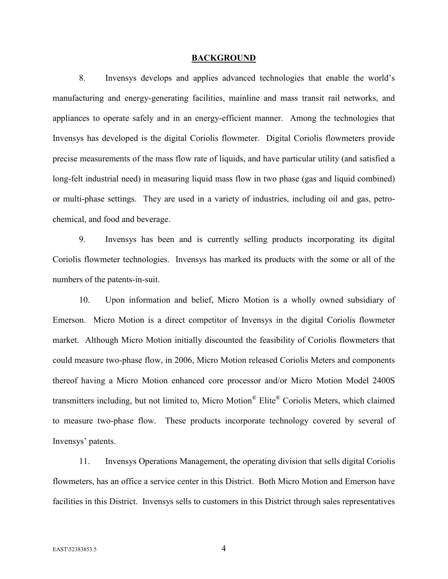#### **BACKGROUND**

8. Invensys develops and applies advanced technologies that enable the world's manufacturing and energy-generating facilities, mainline and mass transit rail networks, and appliances to operate safely and in an energy-efficient manner. Among the technologies that Invensys has developed is the digital Coriolis flowmeter. Digital Coriolis flowmeters provide precise measurements of the mass flow rate of liquids, and have particular utility (and satisfied a long-felt industrial need) in measuring liquid mass flow in two phase (gas and liquid combined) or multi-phase settings. They are used in a variety of industries, including oil and gas, petrochemical, and food and beverage.

9. Invensys has been and is currently selling products incorporating its digital Coriolis flowmeter technologies. Invensys has marked its products with the some or all of the numbers of the patents-in-suit.

10. Upon information and belief, Micro Motion is a wholly owned subsidiary of Emerson. Micro Motion is a direct competitor of Invensys in the digital Coriolis flowmeter market. Although Micro Motion initially discounted the feasibility of Coriolis flowmeters that could measure two-phase flow, in 2006, Micro Motion released Coriolis Meters and components thereof having a Micro Motion enhanced core processor and/or Micro Motion Model 2400S transmitters including, but not limited to, Micro Motion® Elite® Coriolis Meters, which claimed to measure two-phase flow. These products incorporate technology covered by several of Invensys' patents.

11. Invensys Operations Management, the operating division that sells digital Coriolis flowmeters, has an office a service center in this District. Both Micro Motion and Emerson have facilities in this District. Invensys sells to customers in this District through sales representatives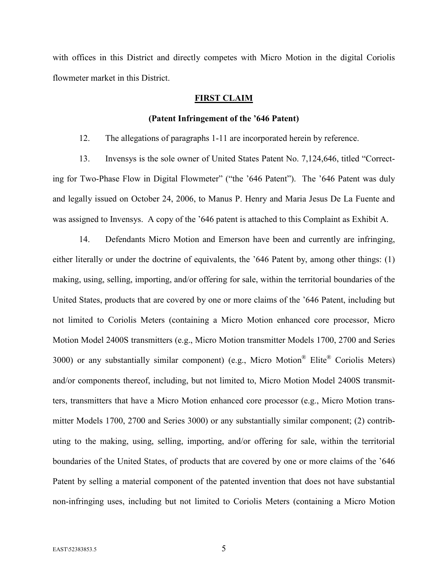with offices in this District and directly competes with Micro Motion in the digital Coriolis flowmeter market in this District.

#### **FIRST CLAIM**

#### **(Patent Infringement of the '646 Patent)**

12. The allegations of paragraphs 1-11 are incorporated herein by reference.

13. Invensys is the sole owner of United States Patent No. 7,124,646, titled "Correcting for Two-Phase Flow in Digital Flowmeter" ("the '646 Patent"). The '646 Patent was duly and legally issued on October 24, 2006, to Manus P. Henry and Maria Jesus De La Fuente and was assigned to Invensys. A copy of the '646 patent is attached to this Complaint as Exhibit A.

14. Defendants Micro Motion and Emerson have been and currently are infringing, either literally or under the doctrine of equivalents, the '646 Patent by, among other things: (1) making, using, selling, importing, and/or offering for sale, within the territorial boundaries of the United States, products that are covered by one or more claims of the '646 Patent, including but not limited to Coriolis Meters (containing a Micro Motion enhanced core processor, Micro Motion Model 2400S transmitters (e.g., Micro Motion transmitter Models 1700, 2700 and Series 3000) or any substantially similar component) (e.g., Micro Motion® Elite® Coriolis Meters) and/or components thereof, including, but not limited to, Micro Motion Model 2400S transmitters, transmitters that have a Micro Motion enhanced core processor (e.g., Micro Motion transmitter Models 1700, 2700 and Series 3000) or any substantially similar component; (2) contributing to the making, using, selling, importing, and/or offering for sale, within the territorial boundaries of the United States, of products that are covered by one or more claims of the '646 Patent by selling a material component of the patented invention that does not have substantial non-infringing uses, including but not limited to Coriolis Meters (containing a Micro Motion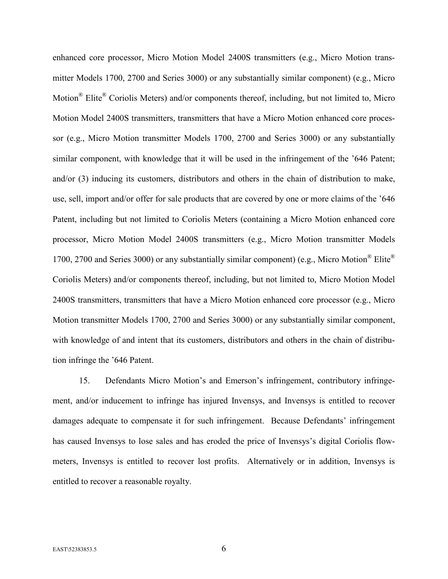enhanced core processor, Micro Motion Model 2400S transmitters (e.g., Micro Motion transmitter Models 1700, 2700 and Series 3000) or any substantially similar component) (e.g., Micro Motion<sup>®</sup> Elite<sup>®</sup> Coriolis Meters) and/or components thereof, including, but not limited to, Micro Motion Model 2400S transmitters, transmitters that have a Micro Motion enhanced core processor (e.g., Micro Motion transmitter Models 1700, 2700 and Series 3000) or any substantially similar component, with knowledge that it will be used in the infringement of the '646 Patent; and/or (3) inducing its customers, distributors and others in the chain of distribution to make, use, sell, import and/or offer for sale products that are covered by one or more claims of the '646 Patent, including but not limited to Coriolis Meters (containing a Micro Motion enhanced core processor, Micro Motion Model 2400S transmitters (e.g., Micro Motion transmitter Models 1700, 2700 and Series 3000) or any substantially similar component) (e.g., Micro Motion® Elite® Coriolis Meters) and/or components thereof, including, but not limited to, Micro Motion Model 2400S transmitters, transmitters that have a Micro Motion enhanced core processor (e.g., Micro Motion transmitter Models 1700, 2700 and Series 3000) or any substantially similar component, with knowledge of and intent that its customers, distributors and others in the chain of distribution infringe the '646 Patent.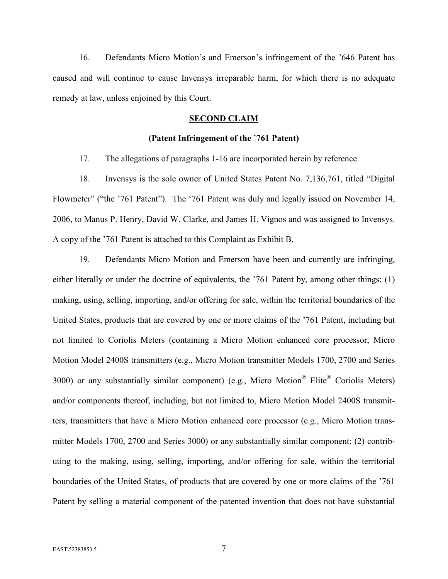16. Defendants Micro Motion's and Emerson's infringement of the '646 Patent has caused and will continue to cause Invensys irreparable harm, for which there is no adequate remedy at law, unless enjoined by this Court.

# **SECOND CLAIM**

#### **(Patent Infringement of the** '**761 Patent)**

17. The allegations of paragraphs 1-16 are incorporated herein by reference.

18. Invensys is the sole owner of United States Patent No. 7,136,761, titled "Digital Flowmeter" ("the '761 Patent"). The '761 Patent was duly and legally issued on November 14, 2006, to Manus P. Henry, David W. Clarke, and James H. Vignos and was assigned to Invensys. A copy of the '761 Patent is attached to this Complaint as Exhibit B.

19. Defendants Micro Motion and Emerson have been and currently are infringing, either literally or under the doctrine of equivalents, the '761 Patent by, among other things: (1) making, using, selling, importing, and/or offering for sale, within the territorial boundaries of the United States, products that are covered by one or more claims of the '761 Patent, including but not limited to Coriolis Meters (containing a Micro Motion enhanced core processor, Micro Motion Model 2400S transmitters (e.g., Micro Motion transmitter Models 1700, 2700 and Series 3000) or any substantially similar component) (e.g., Micro Motion<sup>®</sup> Elite® Coriolis Meters) and/or components thereof, including, but not limited to, Micro Motion Model 2400S transmitters, transmitters that have a Micro Motion enhanced core processor (e.g., Micro Motion transmitter Models 1700, 2700 and Series 3000) or any substantially similar component; (2) contributing to the making, using, selling, importing, and/or offering for sale, within the territorial boundaries of the United States, of products that are covered by one or more claims of the '761 Patent by selling a material component of the patented invention that does not have substantial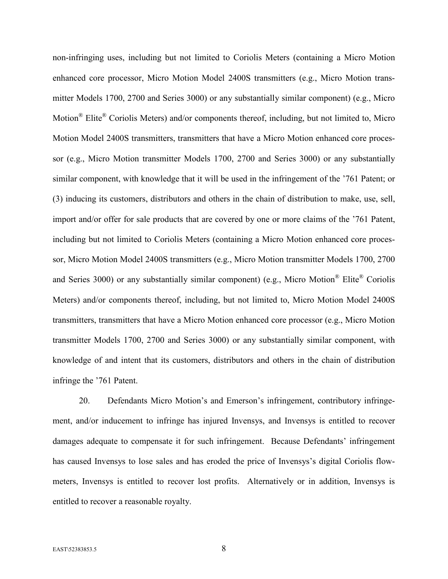non-infringing uses, including but not limited to Coriolis Meters (containing a Micro Motion enhanced core processor, Micro Motion Model 2400S transmitters (e.g., Micro Motion transmitter Models 1700, 2700 and Series 3000) or any substantially similar component) (e.g., Micro Motion<sup>®</sup> Elite<sup>®</sup> Coriolis Meters) and/or components thereof, including, but not limited to, Micro Motion Model 2400S transmitters, transmitters that have a Micro Motion enhanced core processor (e.g., Micro Motion transmitter Models 1700, 2700 and Series 3000) or any substantially similar component, with knowledge that it will be used in the infringement of the '761 Patent; or (3) inducing its customers, distributors and others in the chain of distribution to make, use, sell, import and/or offer for sale products that are covered by one or more claims of the '761 Patent, including but not limited to Coriolis Meters (containing a Micro Motion enhanced core processor, Micro Motion Model 2400S transmitters (e.g., Micro Motion transmitter Models 1700, 2700 and Series 3000) or any substantially similar component) (e.g., Micro Motion® Elite® Coriolis Meters) and/or components thereof, including, but not limited to, Micro Motion Model 2400S transmitters, transmitters that have a Micro Motion enhanced core processor (e.g., Micro Motion transmitter Models 1700, 2700 and Series 3000) or any substantially similar component, with knowledge of and intent that its customers, distributors and others in the chain of distribution infringe the '761 Patent.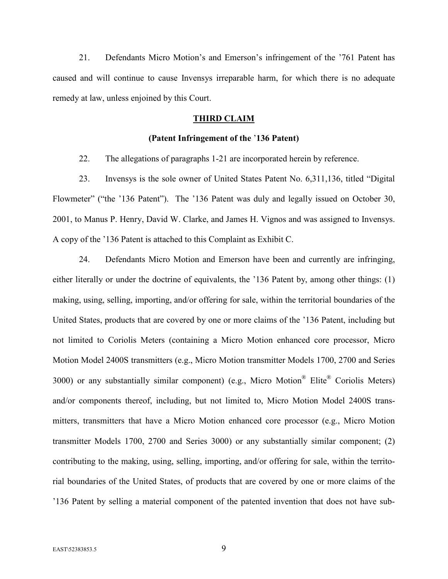21. Defendants Micro Motion's and Emerson's infringement of the '761 Patent has caused and will continue to cause Invensys irreparable harm, for which there is no adequate remedy at law, unless enjoined by this Court.

#### **THIRD CLAIM**

#### **(Patent Infringement of the** '**136 Patent)**

22. The allegations of paragraphs 1-21 are incorporated herein by reference.

23. Invensys is the sole owner of United States Patent No. 6,311,136, titled "Digital Flowmeter" ("the '136 Patent"). The '136 Patent was duly and legally issued on October 30, 2001, to Manus P. Henry, David W. Clarke, and James H. Vignos and was assigned to Invensys. A copy of the '136 Patent is attached to this Complaint as Exhibit C.

24. Defendants Micro Motion and Emerson have been and currently are infringing, either literally or under the doctrine of equivalents, the '136 Patent by, among other things: (1) making, using, selling, importing, and/or offering for sale, within the territorial boundaries of the United States, products that are covered by one or more claims of the '136 Patent, including but not limited to Coriolis Meters (containing a Micro Motion enhanced core processor, Micro Motion Model 2400S transmitters (e.g., Micro Motion transmitter Models 1700, 2700 and Series 3000) or any substantially similar component) (e.g., Micro Motion<sup>®</sup> Elite® Coriolis Meters) and/or components thereof, including, but not limited to, Micro Motion Model 2400S transmitters, transmitters that have a Micro Motion enhanced core processor (e.g., Micro Motion transmitter Models 1700, 2700 and Series 3000) or any substantially similar component; (2) contributing to the making, using, selling, importing, and/or offering for sale, within the territorial boundaries of the United States, of products that are covered by one or more claims of the '136 Patent by selling a material component of the patented invention that does not have sub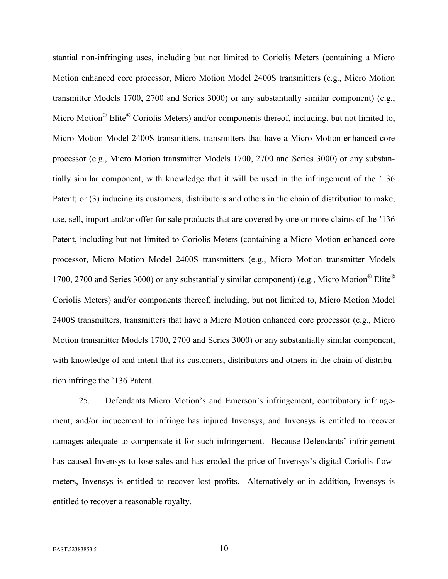stantial non-infringing uses, including but not limited to Coriolis Meters (containing a Micro Motion enhanced core processor, Micro Motion Model 2400S transmitters (e.g., Micro Motion transmitter Models 1700, 2700 and Series 3000) or any substantially similar component) (e.g., Micro Motion<sup>®</sup> Elite<sup>®</sup> Coriolis Meters) and/or components thereof, including, but not limited to, Micro Motion Model 2400S transmitters, transmitters that have a Micro Motion enhanced core processor (e.g., Micro Motion transmitter Models 1700, 2700 and Series 3000) or any substantially similar component, with knowledge that it will be used in the infringement of the '136 Patent; or (3) inducing its customers, distributors and others in the chain of distribution to make, use, sell, import and/or offer for sale products that are covered by one or more claims of the '136 Patent, including but not limited to Coriolis Meters (containing a Micro Motion enhanced core processor, Micro Motion Model 2400S transmitters (e.g., Micro Motion transmitter Models 1700, 2700 and Series 3000) or any substantially similar component) (e.g., Micro Motion® Elite® Coriolis Meters) and/or components thereof, including, but not limited to, Micro Motion Model 2400S transmitters, transmitters that have a Micro Motion enhanced core processor (e.g., Micro Motion transmitter Models 1700, 2700 and Series 3000) or any substantially similar component, with knowledge of and intent that its customers, distributors and others in the chain of distribution infringe the '136 Patent.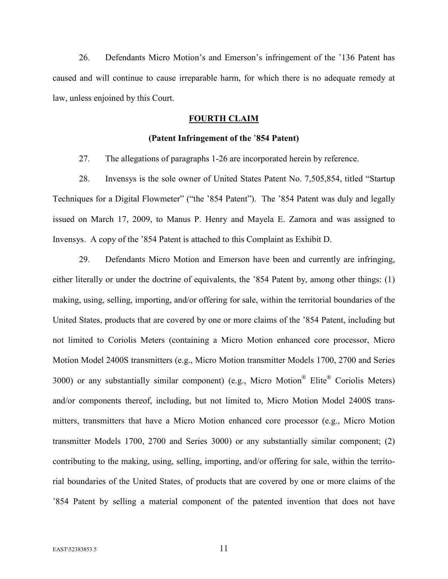26. Defendants Micro Motion's and Emerson's infringement of the '136 Patent has caused and will continue to cause irreparable harm, for which there is no adequate remedy at law, unless enjoined by this Court.

### **FOURTH CLAIM**

#### **(Patent Infringement of the** '**854 Patent)**

27. The allegations of paragraphs 1-26 are incorporated herein by reference.

28. Invensys is the sole owner of United States Patent No. 7,505,854, titled "Startup Techniques for a Digital Flowmeter" ("the '854 Patent"). The '854 Patent was duly and legally issued on March 17, 2009, to Manus P. Henry and Mayela E. Zamora and was assigned to Invensys. A copy of the '854 Patent is attached to this Complaint as Exhibit D.

29. Defendants Micro Motion and Emerson have been and currently are infringing, either literally or under the doctrine of equivalents, the '854 Patent by, among other things: (1) making, using, selling, importing, and/or offering for sale, within the territorial boundaries of the United States, products that are covered by one or more claims of the '854 Patent, including but not limited to Coriolis Meters (containing a Micro Motion enhanced core processor, Micro Motion Model 2400S transmitters (e.g., Micro Motion transmitter Models 1700, 2700 and Series 3000) or any substantially similar component) (e.g., Micro Motion<sup>®</sup> Elite® Coriolis Meters) and/or components thereof, including, but not limited to, Micro Motion Model 2400S transmitters, transmitters that have a Micro Motion enhanced core processor (e.g., Micro Motion transmitter Models 1700, 2700 and Series 3000) or any substantially similar component; (2) contributing to the making, using, selling, importing, and/or offering for sale, within the territorial boundaries of the United States, of products that are covered by one or more claims of the '854 Patent by selling a material component of the patented invention that does not have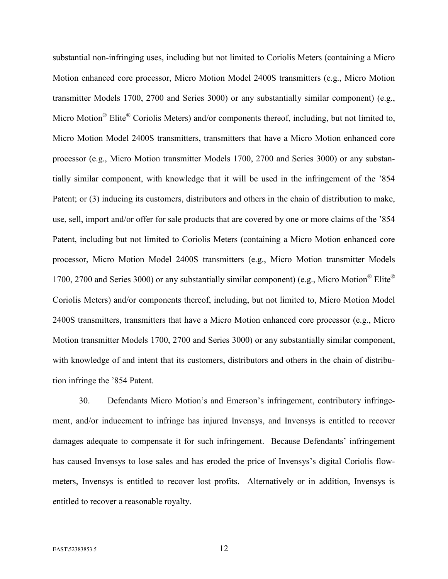substantial non-infringing uses, including but not limited to Coriolis Meters (containing a Micro Motion enhanced core processor, Micro Motion Model 2400S transmitters (e.g., Micro Motion transmitter Models 1700, 2700 and Series 3000) or any substantially similar component) (e.g., Micro Motion<sup>®</sup> Elite<sup>®</sup> Coriolis Meters) and/or components thereof, including, but not limited to, Micro Motion Model 2400S transmitters, transmitters that have a Micro Motion enhanced core processor (e.g., Micro Motion transmitter Models 1700, 2700 and Series 3000) or any substantially similar component, with knowledge that it will be used in the infringement of the '854 Patent; or (3) inducing its customers, distributors and others in the chain of distribution to make, use, sell, import and/or offer for sale products that are covered by one or more claims of the '854 Patent, including but not limited to Coriolis Meters (containing a Micro Motion enhanced core processor, Micro Motion Model 2400S transmitters (e.g., Micro Motion transmitter Models 1700, 2700 and Series 3000) or any substantially similar component) (e.g., Micro Motion® Elite® Coriolis Meters) and/or components thereof, including, but not limited to, Micro Motion Model 2400S transmitters, transmitters that have a Micro Motion enhanced core processor (e.g., Micro Motion transmitter Models 1700, 2700 and Series 3000) or any substantially similar component, with knowledge of and intent that its customers, distributors and others in the chain of distribution infringe the '854 Patent.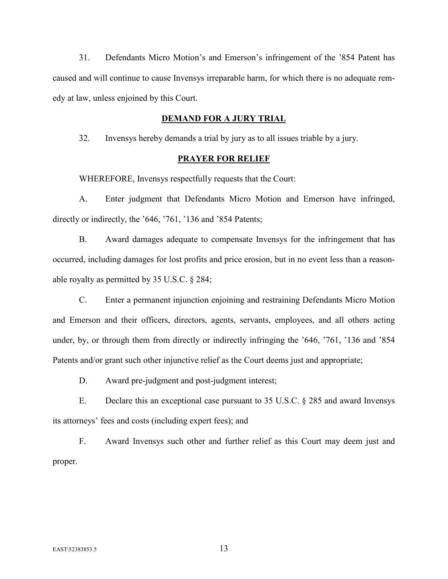31. Defendants Micro Motion's and Emerson's infringement of the '854 Patent has caused and will continue to cause Invensys irreparable harm, for which there is no adequate remedy at law, unless enjoined by this Court.

#### **DEMAND FOR A JURY TRIAL**

32. Invensys hereby demands a trial by jury as to all issues triable by a jury.

### **PRAYER FOR RELIEF**

WHEREFORE, Invensys respectfully requests that the Court:

A. Enter judgment that Defendants Micro Motion and Emerson have infringed, directly or indirectly, the '646, '761, '136 and '854 Patents;

B. Award damages adequate to compensate Invensys for the infringement that has occurred, including damages for lost profits and price erosion, but in no event less than a reasonable royalty as permitted by 35 U.S.C. § 284;

C. Enter a permanent injunction enjoining and restraining Defendants Micro Motion and Emerson and their officers, directors, agents, servants, employees, and all others acting under, by, or through them from directly or indirectly infringing the '646, '761, '136 and '854 Patents and/or grant such other injunctive relief as the Court deems just and appropriate;

D. Award pre-judgment and post-judgment interest;

E. Declare this an exceptional case pursuant to 35 U.S.C. § 285 and award Invensys its attorneys' fees and costs (including expert fees); and

F. Award Invensys such other and further relief as this Court may deem just and proper.